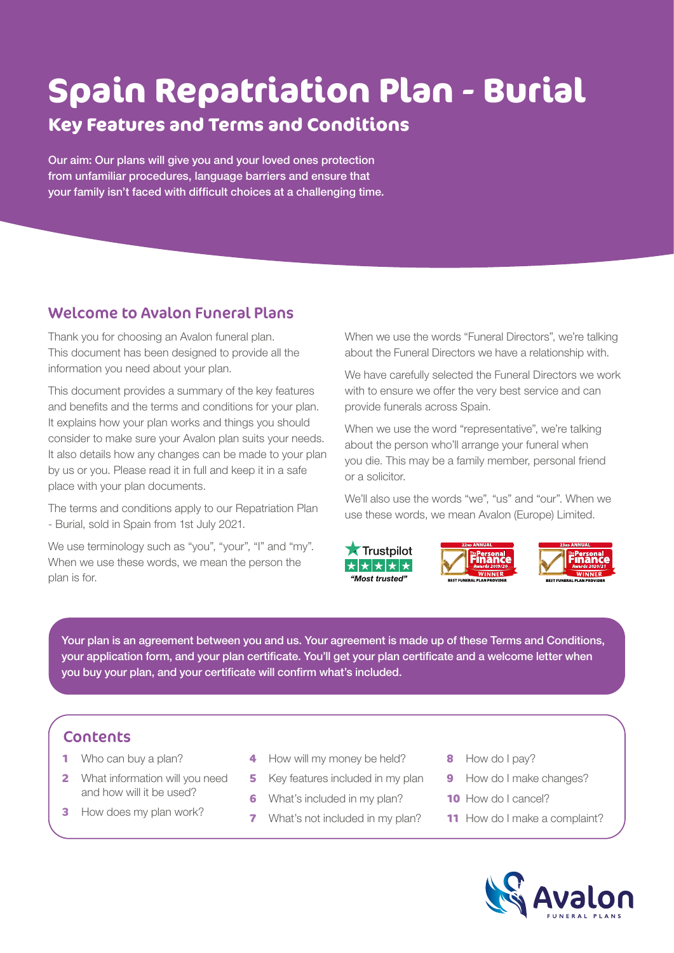# **Spain Repatriation Plan - Burial**

# **Key Features and Terms and Conditions**

Our aim: Our plans will give you and your loved ones protection from unfamiliar procedures, language barriers and ensure that your family isn't faced with difficult choices at a challenging time.

# Welcome to Avalon Funeral Plans

Thank you for choosing an Avalon funeral plan. This document has been designed to provide all the information you need about your plan.

This document provides a summary of the key features and benefits and the terms and conditions for your plan. It explains how your plan works and things you should consider to make sure your Avalon plan suits your needs. It also details how any changes can be made to your plan by us or you. Please read it in full and keep it in a safe place with your plan documents.

The terms and conditions apply to our Repatriation Plan - Burial, sold in Spain from 1st July 2021.

We use terminology such as "you", "your", "I" and "my". When we use these words, we mean the person the plan is for.

When we use the words "Funeral Directors", we're talking about the Funeral Directors we have a relationship with.

We have carefully selected the Funeral Directors we work with to ensure we offer the very best service and can provide funerals across Spain.

When we use the word "representative", we're talking about the person who'll arrange your funeral when you die. This may be a family member, personal friend or a solicitor.

We'll also use the words "we", "us" and "our". When we use these words, we mean Avalon (Europe) Limited.







Your plan is an agreement between you and us. Your agreement is made up of these Terms and Conditions, your application form, and your plan certificate. You'll get your plan certificate and a welcome letter when you buy your plan, and your certificate will confirm what's included.

# **Contents**

- **1** Who can buy a plan?
- **2** What information will you need and how will it be used?
- **3** How does my plan work?
- **4** How will my money be held?
- **5** Key features included in my plan
- **6** What's included in my plan?
- **7** What's not included in my plan?
- **8** How do I pay?
- **9** How do I make changes?
- **10** How do I cancel?
- **11** How do I make a complaint?

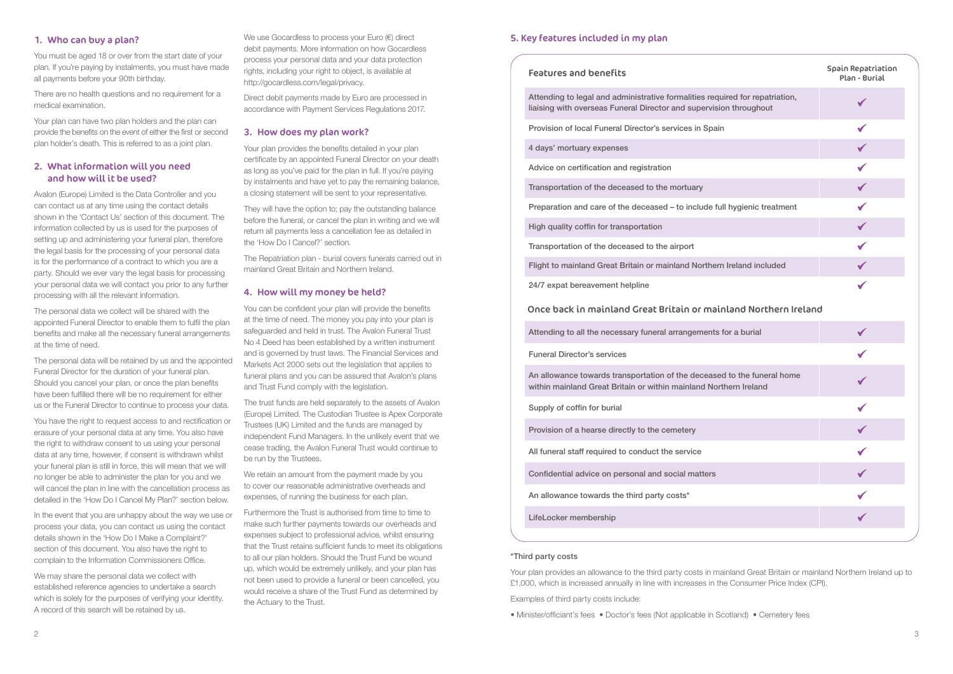|                                          | <b>Spain Repatriation</b><br>Plan - Burial |  |
|------------------------------------------|--------------------------------------------|--|
| uired for repatriation,<br>on throughout |                                            |  |
| n                                        | $\checkmark$                               |  |
|                                          | $\checkmark$                               |  |
|                                          | $\checkmark$                               |  |
|                                          | $\checkmark$                               |  |
| ull hygienic treatment                   | $\checkmark$                               |  |
|                                          | $\checkmark$                               |  |
|                                          | $\checkmark$                               |  |
| n Ireland included                       | $\checkmark$                               |  |
|                                          | $\checkmark$                               |  |
| nland Northern Ireland                   |                                            |  |
| for a burial                             | $\checkmark$                               |  |
|                                          | $\checkmark$                               |  |
| d to the funeral home<br>thern Ireland   | $\checkmark$                               |  |
|                                          | $\checkmark$                               |  |
|                                          |                                            |  |
|                                          |                                            |  |
|                                          |                                            |  |
|                                          |                                            |  |
|                                          |                                            |  |
|                                          |                                            |  |

Provision of local Funeral Director's services in Spain

4 days' mortuary expenses

Advice on certification and registration

Transportation of the deceased to the mortuary

Preparation and care of the deceased – to include full

High quality coffin for transportation

Transportation of the deceased to the airport

Flight to mainland Great Britain or mainland Northern

24/7 expat bereavement helpline

## Once back in mainland Great Britain or main

Attending to all the necessary funeral arrangements

Funeral Director's services

An allowance towards transportation of the decease within mainland Great Britain or within mainland Northern

Supply of coffin for burial

Provision of a hearse directly to the cemetery

All funeral staff required to conduct the service

Confidential advice on personal and social matters

An allowance towards the third party costs\*

LifeLocker membership

## 1. Who can buy a plan?

You must be aged 18 or over from the start date of your plan. If you're paying by instalments, you must have made all payments before your 90th birthday.

There are no health questions and no requirement for a medical examination.

Your plan can have two plan holders and the plan can provide the benefits on the event of either the first or second plan holder's death. This is referred to as a joint plan.

# 2. What information will you need and how will it be used?

Avalon (Europe) Limited is the Data Controller and you can contact us at any time using the contact details shown in the 'Contact Us' section of this document. The information collected by us is used for the purposes of setting up and administering your funeral plan, therefore the legal basis for the processing of your personal data is for the performance of a contract to which you are a party. Should we ever vary the legal basis for processing your personal data we will contact you prior to any further processing with all the relevant information.

The personal data we collect will be shared with the appointed Funeral Director to enable them to fulfil the plan benefits and make all the necessary funeral arrangements at the time of need.

The personal data will be retained by us and the appointed Funeral Director for the duration of your funeral plan. Should you cancel your plan, or once the plan benefits have been fulfilled there will be no requirement for either us or the Funeral Director to continue to process your data.

You have the right to request access to and rectification or erasure of your personal data at any time. You also have the right to withdraw consent to us using your personal data at any time, however, if consent is withdrawn whilst your funeral plan is still in force, this will mean that we will no longer be able to administer the plan for you and we will cancel the plan in line with the cancellation process as detailed in the 'How Do I Cancel My Plan?' section below.

In the event that you are unhappy about the way we use or process your data, you can contact us using the contact details shown in the 'How Do I Make a Complaint?' section of this document. You also have the right to complain to the Information Commissioners Office.

We may share the personal data we collect with established reference agencies to undertake a search which is solely for the purposes of verifying your identity. A record of this search will be retained by us.

We use Gocardless to process your Euro (€) direct debit payments. More information on how Gocardless process your personal data and your data protection rights, including your right to object, is available at http://gocardless.com/legal/privacy.

Direct debit payments made by Euro are processed in accordance with Payment Services Regulations 2017.

## 3. How does my plan work?

Your plan provides the benefits detailed in your plan certificate by an appointed Funeral Director on your death as long as you've paid for the plan in full. If you're paying by instalments and have yet to pay the remaining balance, a closing statement will be sent to your representative.

They will have the option to; pay the outstanding balance before the funeral, or cancel the plan in writing and we will return all payments less a cancellation fee as detailed in the 'How Do I Cancel?' section.

The Repatriation plan - burial covers funerals carried out in mainland Great Britain and Northern Ireland.

## 4. How will my money be held?

You can be confident your plan will provide the benefits at the time of need. The money you pay into your plan is safeguarded and held in trust. The Avalon Funeral Trust No 4 Deed has been established by a written instrument and is governed by trust laws. The Financial Services and Markets Act 2000 sets out the legislation that applies to funeral plans and you can be assured that Avalon's plans and Trust Fund comply with the legislation.

The trust funds are held separately to the assets of Avalon (Europe) Limited. The Custodian Trustee is Apex Corporate Trustees (UK) Limited and the funds are managed by independent Fund Managers. In the unlikely event that we cease trading, the Avalon Funeral Trust would continue to be run by the Trustees.

We retain an amount from the payment made by you to cover our reasonable administrative overheads and expenses, of running the business for each plan.

Furthermore the Trust is authorised from time to time to make such further payments towards our overheads and expenses subject to professional advice, whilst ensuring that the Trust retains sufficient funds to meet its obligations to all our plan holders. Should the Trust Fund be wound up, which would be extremely unlikely, and your plan has not been used to provide a funeral or been cancelled, you would receive a share of the Trust Fund as determined by the Actuary to the Trust.

# 5. Key features included in my plan

#### Features and benefits

Attending to legal and administrative formalities required liaising with overseas Funeral Director and supervision

#### \*Third party costs

Your plan provides an allowance to the third party costs in mainland Great Britain or mainland Northern Ireland up to £1,000, which is increased annually in line with increases in the Consumer Price Index (CPI).

Examples of third party costs include:

• Minister/officiant's fees • Doctor's fees (Not applicable in Scotland) • Cemetery fees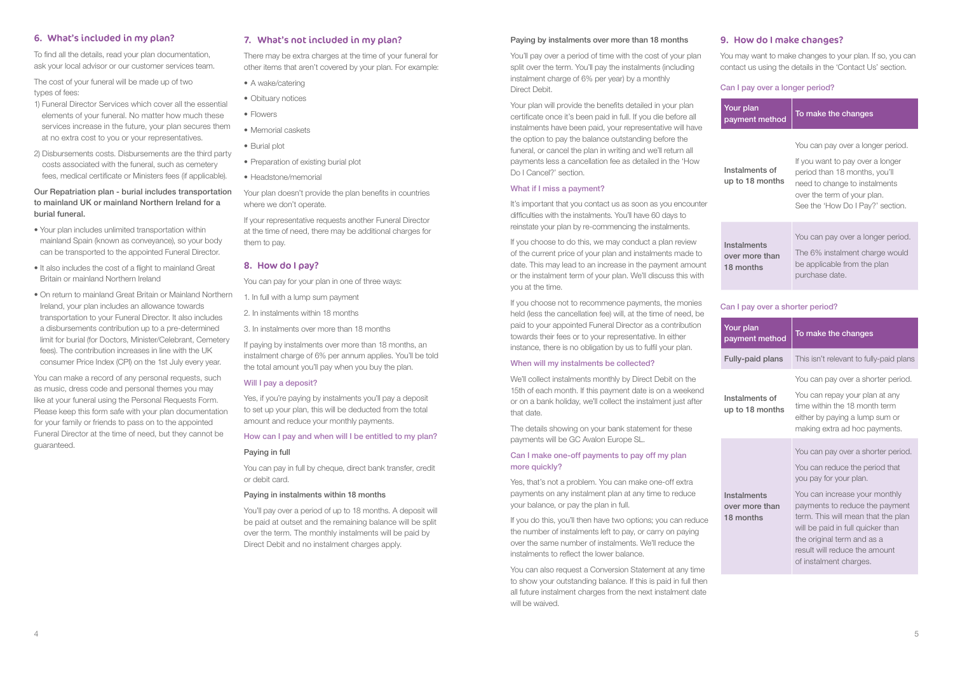# 6. What's included in my plan?

To find all the details, read your plan documentation, ask your local advisor or our customer services team.

The cost of your funeral will be made up of two types of fees:

- 1) Funeral Director Services which cover all the essential elements of your funeral. No matter how much these services increase in the future, your plan secures them at no extra cost to you or your representatives.
- 2) Disbursements costs. Disbursements are the third party costs associated with the funeral, such as cemetery fees, medical certificate or Ministers fees (if applicable).

# Our Repatriation plan - burial includes transportation to mainland UK or mainland Northern Ireland for a burial funeral.

- A wake/catering
- Obituary notices
- Flowers
- Memorial caskets
- Burial plot
- Preparation of existing burial plot
- Headstone/memorial

- Your plan includes unlimited transportation within mainland Spain (known as conveyance), so your body can be transported to the appointed Funeral Director.
- It also includes the cost of a flight to mainland Great Britain or mainland Northern Ireland
- On return to mainland Great Britain or Mainland Northern Ireland, your plan includes an allowance towards transportation to your Funeral Director. It also includes a disbursements contribution up to a pre-determined limit for burial (for Doctors, Minister/Celebrant, Cemetery fees). The contribution increases in line with the UK consumer Price Index (CPI) on the 1st July every year.

If paying by instalments over more than 18 months, an instalment charge of 6% per annum applies. You'll be told the total amount you'll pay when you buy the plan.

#### Will I pay a deposit?

You can make a record of any personal requests, such as music, dress code and personal themes you may like at your funeral using the Personal Requests Form. Please keep this form safe with your plan documentation for your family or friends to pass on to the appointed Funeral Director at the time of need, but they cannot be guaranteed.

Your plan will provide the benefits detailed in your plan certificate once it's been paid in full. If you die before all instalments have been paid, your representative will have the option to pay the balance outstanding before the funeral, or cancel the plan in writing and we'll return all payments less a cancellation fee as detailed in the 'How Do I Cancel?' section.

# 7. What's not included in my plan?

There may be extra charges at the time of your funeral for other items that aren't covered by your plan. For example:

> It's important that you contact us as soon as you encounter difficulties with the instalments. You'll have 60 days to reinstate your plan by re-commencing the instalments.

Your plan doesn't provide the plan benefits in countries where we don't operate.

> If you choose to do this, we may conduct a plan review of the current price of your plan and instalments made to date. This may lead to an increase in the payment amount or the instalment term of your plan. We'll discuss this with you at the time.

If your representative requests another Funeral Director at the time of need, there may be additional charges for them to pay.

# 8. How do I pay?

You can pay for your plan in one of three ways:

1. In full with a lump sum payment

2. In instalments within 18 months

3. In instalments over more than 18 months

If you do this, you'll then have two options; you can reduce the number of instalments left to pay, or carry on paying over the same number of instalments. We'll reduce the instalments to reflect the lower balance.

Yes, if you're paying by instalments you'll pay a deposit to set up your plan, this will be deducted from the total amount and reduce your monthly payments.

#### How can I pay and when will I be entitled to my plan?

#### Paying in full

You can pay in full by cheque, direct bank transfer, credit or debit card.

#### Paying in instalments within 18 months

You'll pay over a period of up to 18 months. A deposit will be paid at outset and the remaining balance will be split over the term. The monthly instalments will be paid by Direct Debit and no instalment charges apply.

#### Paying by instalments over more than 18 months

You'll pay over a period of time with the cost of your plan split over the term. You'll pay the instalments (including instalment charge of 6% per year) by a monthly Direct Debit.

#### What if I miss a payment?

If you choose not to recommence payments, the monies held (less the cancellation fee) will, at the time of need, be paid to your appointed Funeral Director as a contribution towards their fees or to your representative. In either instance, there is no obligation by us to fulfil your plan.

#### When will my instalments be collected?

We'll collect instalments monthly by Direct Debit on the 15th of each month. If this payment date is on a weekend or on a bank holiday, we'll collect the instalment just after that date.

The details showing on your bank statement for these payments will be GC Avalon Europe SL.

# Can I make one-off payments to pay off my plan more quickly?

Yes, that's not a problem. You can make one-off extra payments on any instalment plan at any time to reduce your balance, or pay the plan in full.

You can also request a Conversion Statement at any time to show your outstanding balance. If this is paid in full then all future instalment charges from the next instalment date will be waived.

# 9. How do I make changes?

You may want to make changes to your plan. If so, you can contact us using the details in the 'Contact Us' section.

## Can I pay over a longer period?

| Your plan<br>payment method                | To make the changes                                                                                                                                                                                        |
|--------------------------------------------|------------------------------------------------------------------------------------------------------------------------------------------------------------------------------------------------------------|
| Instalments of<br>up to 18 months          | You can pay over a longer period.<br>If you want to pay over a longer<br>period than 18 months, you'll<br>need to change to instalments<br>over the term of your plan.<br>See the 'How Do I Pay?' section. |
| Instalments<br>over more than<br>18 months | You can pay over a longer period.<br>The 6% instalment charge would<br>be applicable from the plan<br>purchase date.                                                                                       |

## Can I pay over a shorter period?

| Your plan<br>payment method                | To make the changes                                                                                                                                                                                                                                                                                                                   |
|--------------------------------------------|---------------------------------------------------------------------------------------------------------------------------------------------------------------------------------------------------------------------------------------------------------------------------------------------------------------------------------------|
| <b>Fully-paid plans</b>                    | This isn't relevant to fully-paid plans                                                                                                                                                                                                                                                                                               |
| Instalments of<br>up to 18 months          | You can pay over a shorter period.<br>You can repay your plan at any<br>time within the 18 month term<br>either by paying a lump sum or<br>making extra ad hoc payments.                                                                                                                                                              |
| Instalments<br>over more than<br>18 months | You can pay over a shorter period.<br>You can reduce the period that<br>you pay for your plan.<br>You can increase your monthly<br>payments to reduce the payment<br>term. This will mean that the plan<br>will be paid in full quicker than<br>the original term and as a<br>result will reduce the amount<br>of instalment charges. |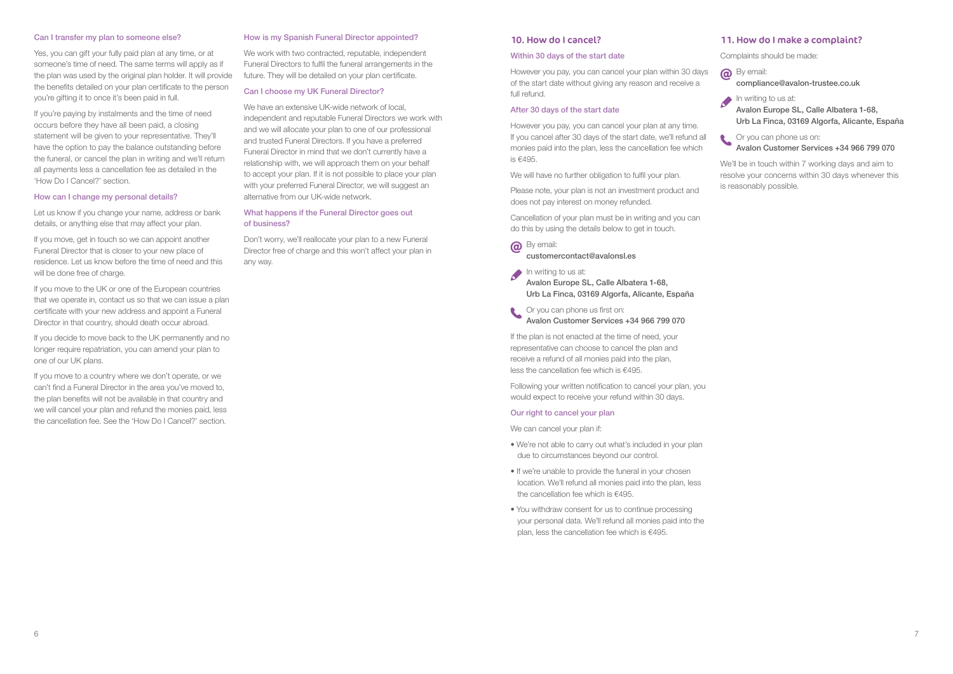#### Can I transfer my plan to someone else?

Yes, you can gift your fully paid plan at any time, or at someone's time of need. The same terms will apply as if the plan was used by the original plan holder. It will provide the benefits detailed on your plan certificate to the person you're gifting it to once it's been paid in full.

If you're paying by instalments and the time of need occurs before they have all been paid, a closing statement will be given to your representative. They'll have the option to pay the balance outstanding before the funeral, or cancel the plan in writing and we'll return all payments less a cancellation fee as detailed in the 'How Do I Cancel?' section.

If you move, get in touch so we can appoint another Funeral Director that is closer to your new place of residence. Let us know before the time of need and this will be done free of charge.

#### How can I change my personal details?

Let us know if you change your name, address or bank details, or anything else that may affect your plan.

We work with two contracted, reputable, independent Funeral Directors to fulfil the funeral arrangements in the future. They will be detailed on your plan certificate.

If you move to the UK or one of the European countries that we operate in, contact us so that we can issue a plan certificate with your new address and appoint a Funeral Director in that country, should death occur abroad.

If you decide to move back to the UK permanently and no longer require repatriation, you can amend your plan to one of our UK plans.

If you move to a country where we don't operate, or we can't find a Funeral Director in the area you've moved to, the plan benefits will not be available in that country and we will cancel your plan and refund the monies paid, less the cancellation fee. See the 'How Do I Cancel?' section.

**a** By email: customercontact@avalonsl.es

#### How is my Spanish Funeral Director appointed?

In writing to us at: Avalon Europe SL, Calle Albatera 1-68, Urb La Finca, 03169 Algorfa, Alicante, España

If the plan is not enacted at the time of need, your representative can choose to cancel the plan and receive a refund of all monies paid into the plan, less the cancellation fee which is €495.

#### Can I choose my UK Funeral Director?

We have an extensive UK-wide network of local, independent and reputable Funeral Directors we work with and we will allocate your plan to one of our professional and trusted Funeral Directors. If you have a preferred Funeral Director in mind that we don't currently have a relationship with, we will approach them on your behalf to accept your plan. If it is not possible to place your plan with your preferred Funeral Director, we will suggest an alternative from our UK-wide network.

In writing to us at: Avalon Europe SL, Calle Albatera 1-68, Urb La Finca, 03169 Algorfa, Alicante, España

Or you can phone us on: Avalon Customer Services +34 966 799 070

#### What happens if the Funeral Director goes out of business?

Don't worry, we'll reallocate your plan to a new Funeral Director free of charge and this won't affect your plan in any way.

### 10. How do I cancel?

#### Within 30 days of the start date

However you pay, you can cancel your plan within 30 days of the start date without giving any reason and receive a full refund.

#### After 30 days of the start date

However you pay, you can cancel your plan at any time. If you cancel after 30 days of the start date, we'll refund all monies paid into the plan, less the cancellation fee which is €495.

We will have no further obligation to fulfil your plan.

Please note, your plan is not an investment product and does not pay interest on money refunded.

Cancellation of your plan must be in writing and you can do this by using the details below to get in touch.

Or you can phone us first on: Avalon Customer Services +34 966 799 070

Following your written notification to cancel your plan, you would expect to receive your refund within 30 days.

#### Our right to cancel your plan

We can cancel your plan if:

- We're not able to carry out what's included in your plan due to circumstances beyond our control.
- If we're unable to provide the funeral in your chosen location. We'll refund all monies paid into the plan, less the cancellation fee which is €495.
- You withdraw consent for us to continue processing your personal data. We'll refund all monies paid into the plan, less the cancellation fee which is €495.

# 11. How do I make a complaint?

Complaints should be made:



compliance@avalon-trustee.co.uk



We'll be in touch within 7 working days and aim to resolve your concerns within 30 days whenever this is reasonably possible.